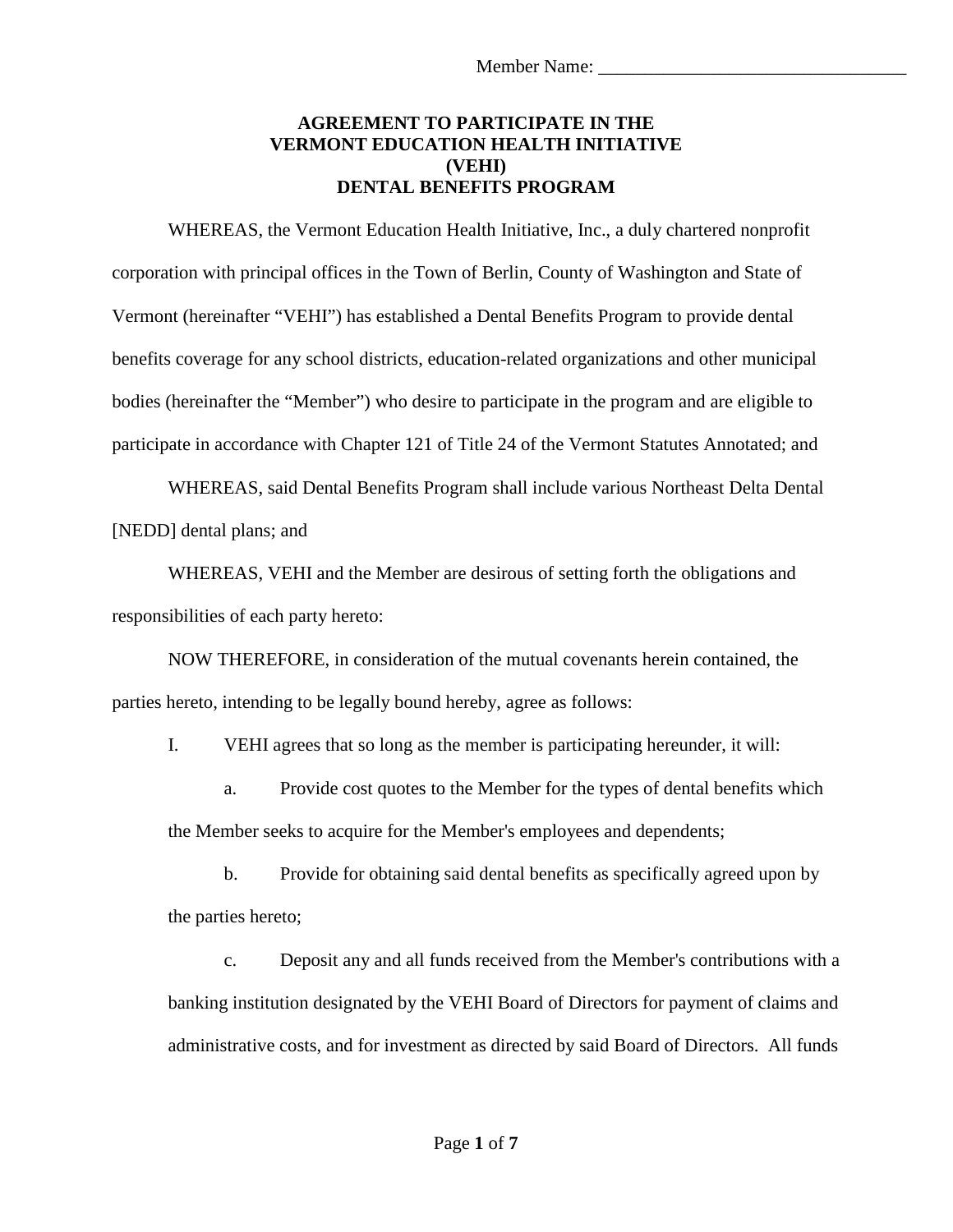## **AGREEMENT TO PARTICIPATE IN THE VERMONT EDUCATION HEALTH INITIATIVE (VEHI) DENTAL BENEFITS PROGRAM**

WHEREAS, the Vermont Education Health Initiative, Inc., a duly chartered nonprofit corporation with principal offices in the Town of Berlin, County of Washington and State of Vermont (hereinafter "VEHI") has established a Dental Benefits Program to provide dental benefits coverage for any school districts, education-related organizations and other municipal bodies (hereinafter the "Member") who desire to participate in the program and are eligible to participate in accordance with Chapter 121 of Title 24 of the Vermont Statutes Annotated; and

WHEREAS, said Dental Benefits Program shall include various Northeast Delta Dental [NEDD] dental plans; and

WHEREAS, VEHI and the Member are desirous of setting forth the obligations and responsibilities of each party hereto:

NOW THEREFORE, in consideration of the mutual covenants herein contained, the parties hereto, intending to be legally bound hereby, agree as follows:

I. VEHI agrees that so long as the member is participating hereunder, it will:

a. Provide cost quotes to the Member for the types of dental benefits which the Member seeks to acquire for the Member's employees and dependents;

b. Provide for obtaining said dental benefits as specifically agreed upon by the parties hereto;

c. Deposit any and all funds received from the Member's contributions with a banking institution designated by the VEHI Board of Directors for payment of claims and administrative costs, and for investment as directed by said Board of Directors. All funds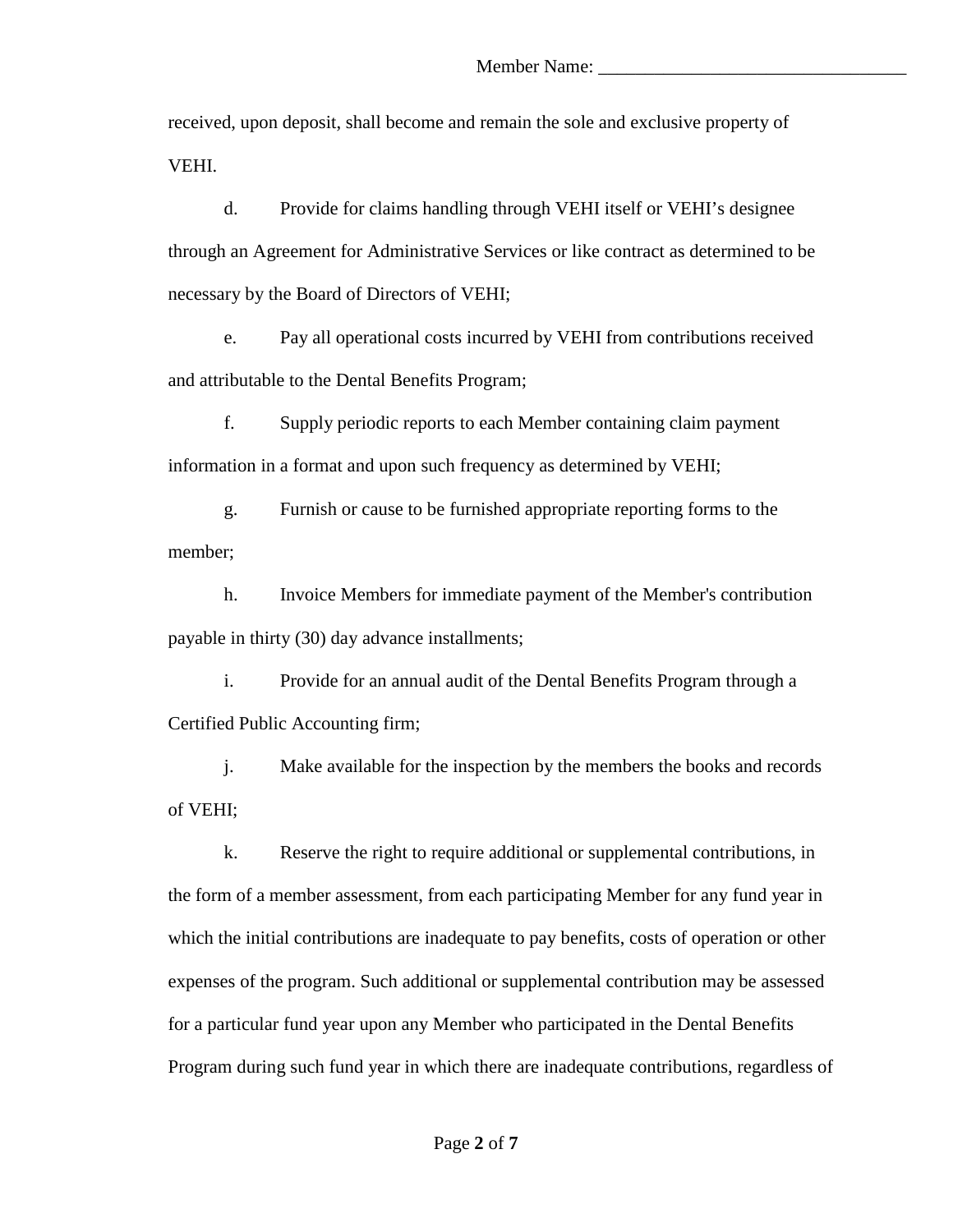received, upon deposit, shall become and remain the sole and exclusive property of VEHI.

d. Provide for claims handling through VEHI itself or VEHI's designee through an Agreement for Administrative Services or like contract as determined to be necessary by the Board of Directors of VEHI;

e. Pay all operational costs incurred by VEHI from contributions received and attributable to the Dental Benefits Program;

f. Supply periodic reports to each Member containing claim payment information in a format and upon such frequency as determined by VEHI;

g. Furnish or cause to be furnished appropriate reporting forms to the member;

h. Invoice Members for immediate payment of the Member's contribution payable in thirty (30) day advance installments;

i. Provide for an annual audit of the Dental Benefits Program through a Certified Public Accounting firm;

j. Make available for the inspection by the members the books and records of VEHI;

k. Reserve the right to require additional or supplemental contributions, in the form of a member assessment, from each participating Member for any fund year in which the initial contributions are inadequate to pay benefits, costs of operation or other expenses of the program. Such additional or supplemental contribution may be assessed for a particular fund year upon any Member who participated in the Dental Benefits Program during such fund year in which there are inadequate contributions, regardless of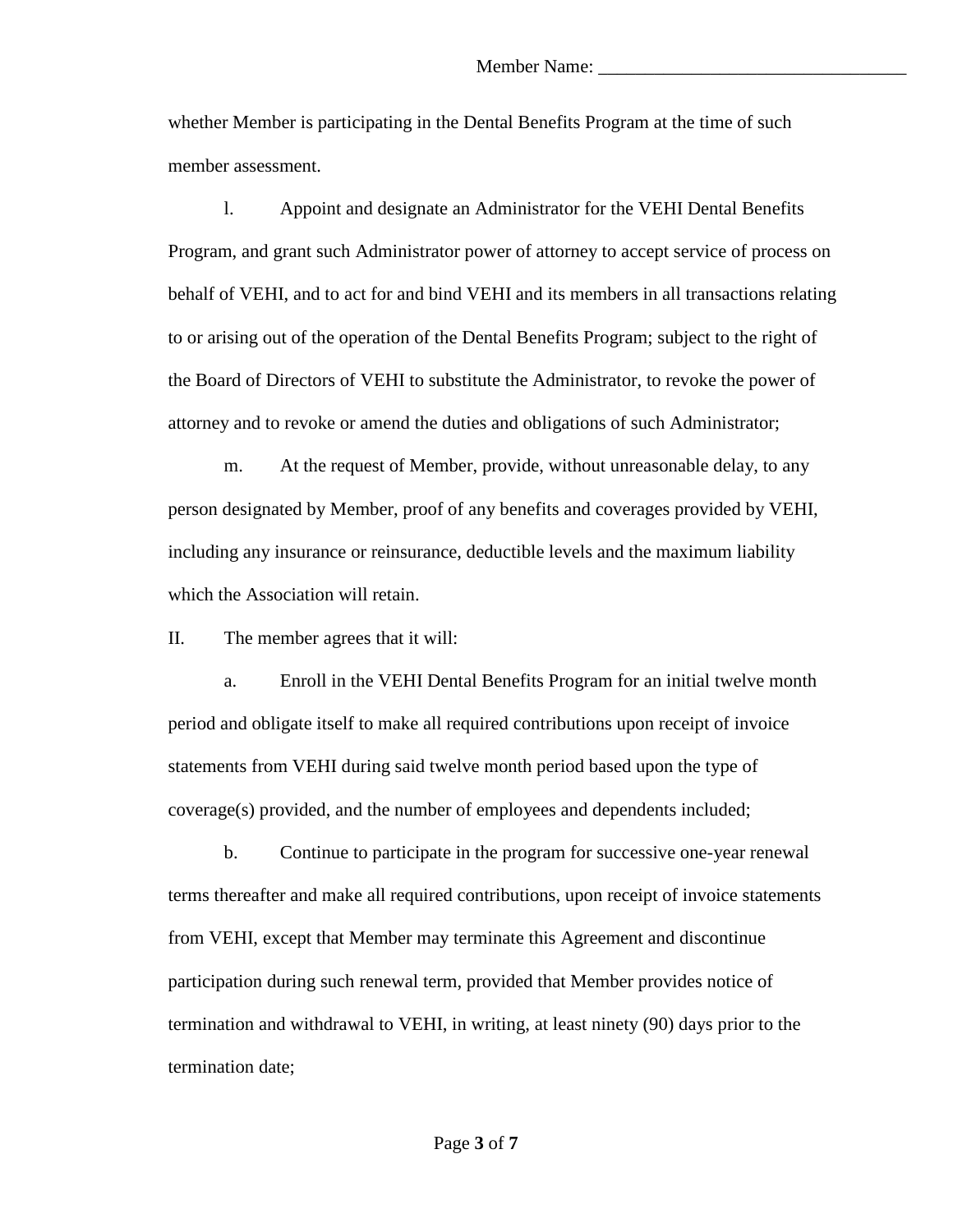whether Member is participating in the Dental Benefits Program at the time of such member assessment.

l. Appoint and designate an Administrator for the VEHI Dental Benefits Program, and grant such Administrator power of attorney to accept service of process on behalf of VEHI, and to act for and bind VEHI and its members in all transactions relating to or arising out of the operation of the Dental Benefits Program; subject to the right of the Board of Directors of VEHI to substitute the Administrator, to revoke the power of attorney and to revoke or amend the duties and obligations of such Administrator;

m. At the request of Member, provide, without unreasonable delay, to any person designated by Member, proof of any benefits and coverages provided by VEHI, including any insurance or reinsurance, deductible levels and the maximum liability which the Association will retain.

II. The member agrees that it will:

a. Enroll in the VEHI Dental Benefits Program for an initial twelve month period and obligate itself to make all required contributions upon receipt of invoice statements from VEHI during said twelve month period based upon the type of coverage(s) provided, and the number of employees and dependents included;

b. Continue to participate in the program for successive one-year renewal terms thereafter and make all required contributions, upon receipt of invoice statements from VEHI, except that Member may terminate this Agreement and discontinue participation during such renewal term, provided that Member provides notice of termination and withdrawal to VEHI, in writing, at least ninety (90) days prior to the termination date;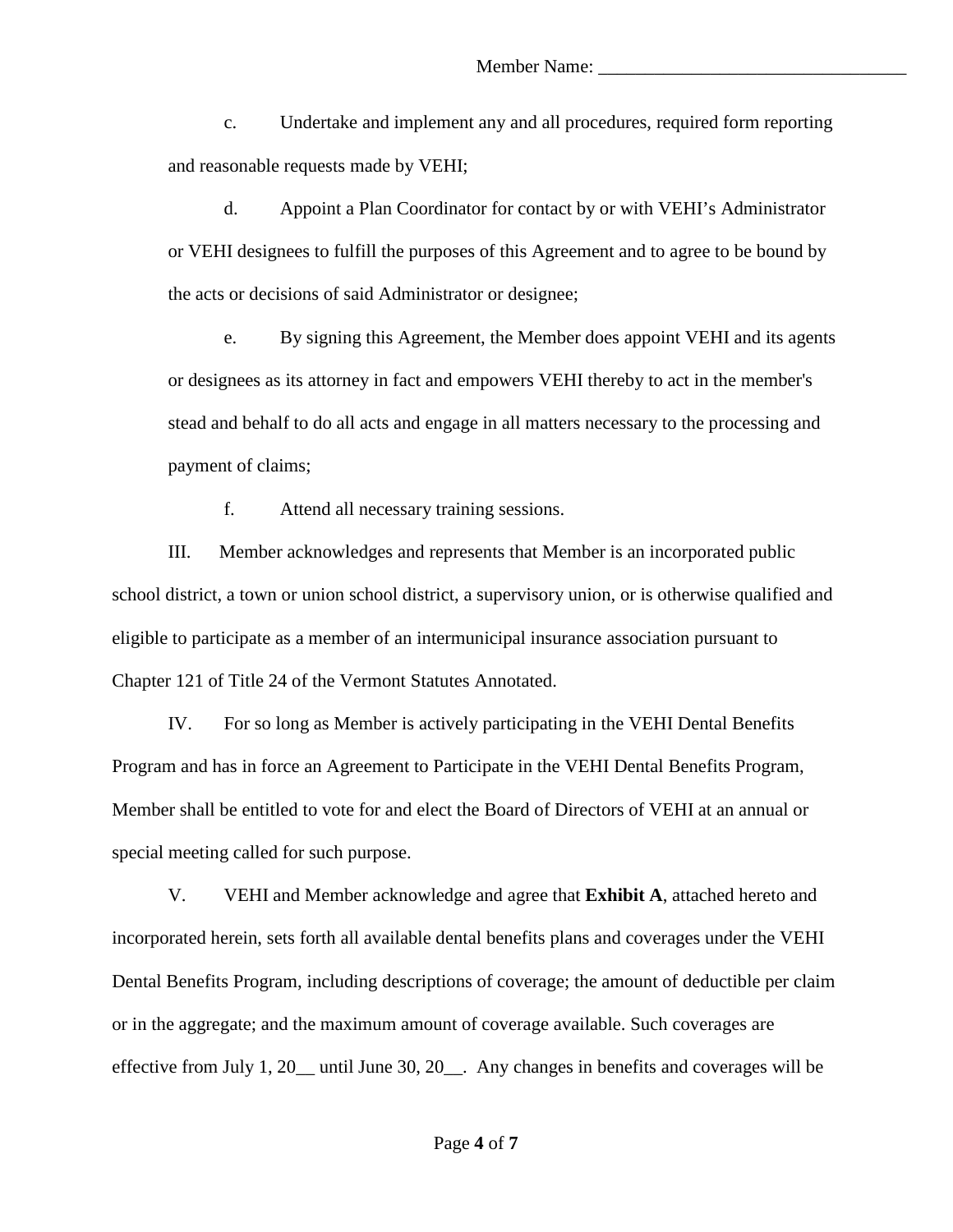c. Undertake and implement any and all procedures, required form reporting and reasonable requests made by VEHI;

d. Appoint a Plan Coordinator for contact by or with VEHI's Administrator or VEHI designees to fulfill the purposes of this Agreement and to agree to be bound by the acts or decisions of said Administrator or designee;

e. By signing this Agreement, the Member does appoint VEHI and its agents or designees as its attorney in fact and empowers VEHI thereby to act in the member's stead and behalf to do all acts and engage in all matters necessary to the processing and payment of claims;

f. Attend all necessary training sessions.

III. Member acknowledges and represents that Member is an incorporated public school district, a town or union school district, a supervisory union, or is otherwise qualified and eligible to participate as a member of an intermunicipal insurance association pursuant to Chapter 121 of Title 24 of the Vermont Statutes Annotated.

IV. For so long as Member is actively participating in the VEHI Dental Benefits Program and has in force an Agreement to Participate in the VEHI Dental Benefits Program, Member shall be entitled to vote for and elect the Board of Directors of VEHI at an annual or special meeting called for such purpose.

V. VEHI and Member acknowledge and agree that **Exhibit A**, attached hereto and incorporated herein, sets forth all available dental benefits plans and coverages under the VEHI Dental Benefits Program, including descriptions of coverage; the amount of deductible per claim or in the aggregate; and the maximum amount of coverage available. Such coverages are effective from July 1, 20\_\_ until June 30, 20\_\_. Any changes in benefits and coverages will be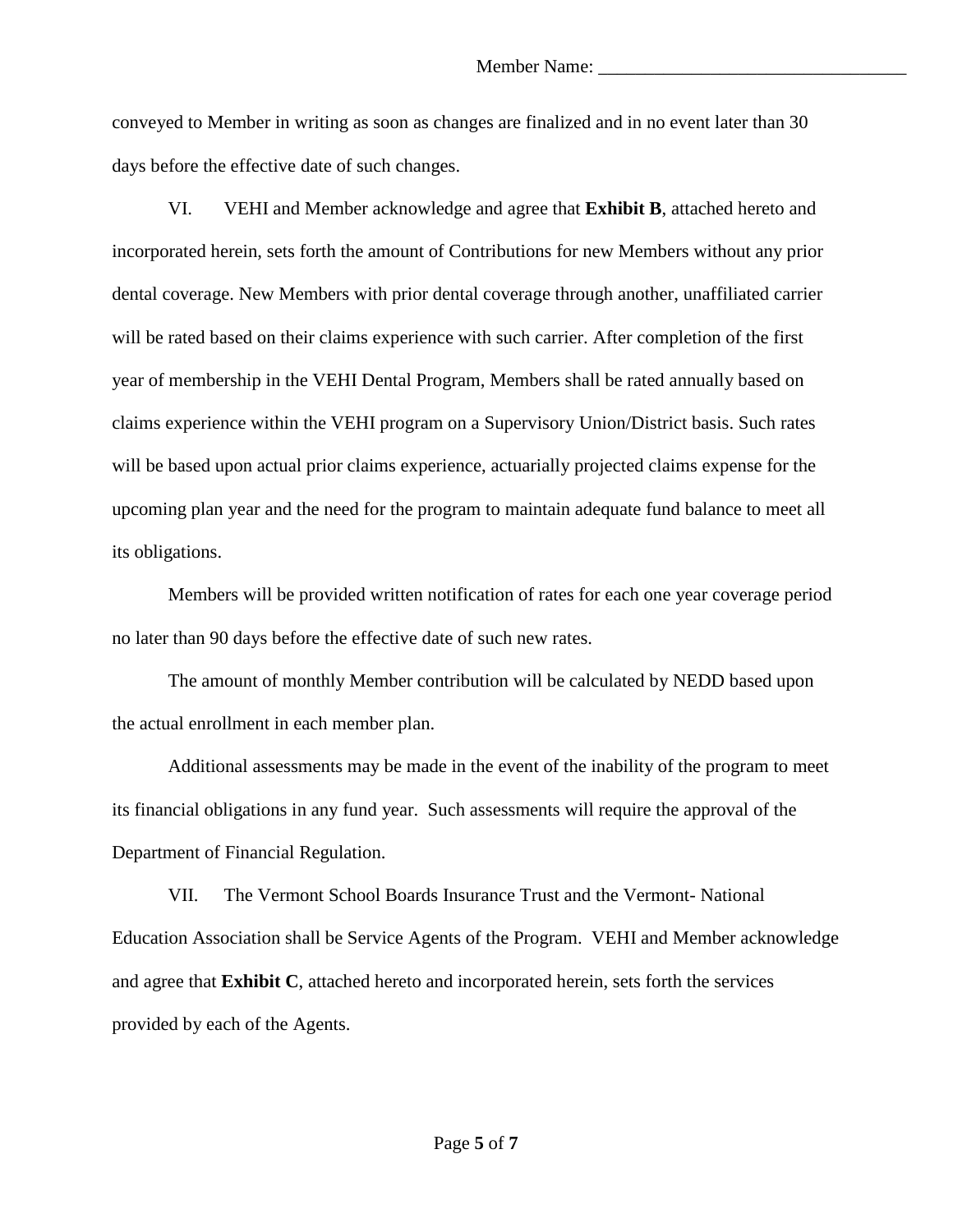conveyed to Member in writing as soon as changes are finalized and in no event later than 30 days before the effective date of such changes.

VI. VEHI and Member acknowledge and agree that **Exhibit B**, attached hereto and incorporated herein, sets forth the amount of Contributions for new Members without any prior dental coverage. New Members with prior dental coverage through another, unaffiliated carrier will be rated based on their claims experience with such carrier. After completion of the first year of membership in the VEHI Dental Program, Members shall be rated annually based on claims experience within the VEHI program on a Supervisory Union/District basis. Such rates will be based upon actual prior claims experience, actuarially projected claims expense for the upcoming plan year and the need for the program to maintain adequate fund balance to meet all its obligations.

Members will be provided written notification of rates for each one year coverage period no later than 90 days before the effective date of such new rates.

The amount of monthly Member contribution will be calculated by NEDD based upon the actual enrollment in each member plan.

Additional assessments may be made in the event of the inability of the program to meet its financial obligations in any fund year. Such assessments will require the approval of the Department of Financial Regulation.

VII. The Vermont School Boards Insurance Trust and the Vermont- National Education Association shall be Service Agents of the Program. VEHI and Member acknowledge and agree that **Exhibit C**, attached hereto and incorporated herein, sets forth the services provided by each of the Agents.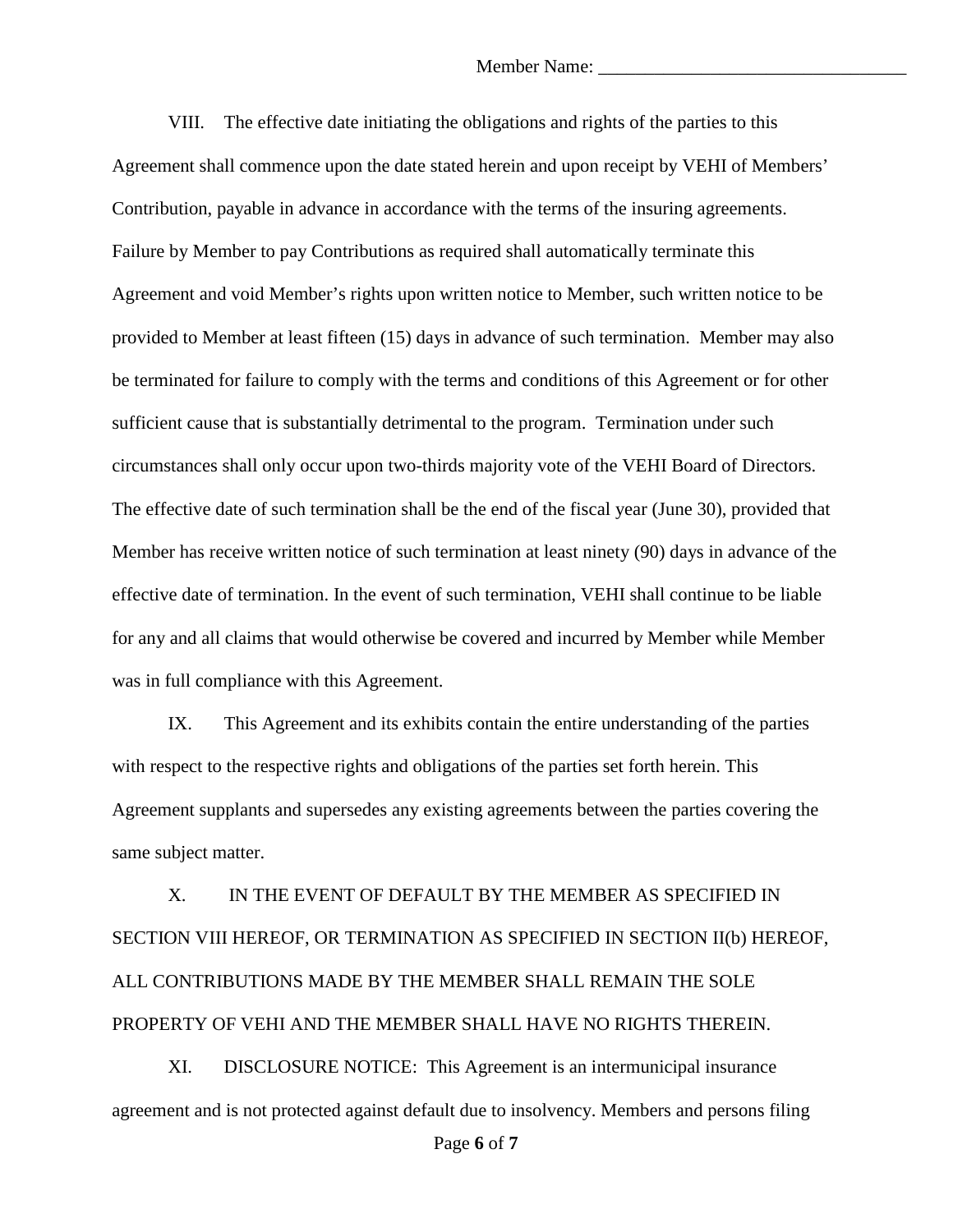VIII. The effective date initiating the obligations and rights of the parties to this Agreement shall commence upon the date stated herein and upon receipt by VEHI of Members' Contribution, payable in advance in accordance with the terms of the insuring agreements. Failure by Member to pay Contributions as required shall automatically terminate this Agreement and void Member's rights upon written notice to Member, such written notice to be provided to Member at least fifteen (15) days in advance of such termination. Member may also be terminated for failure to comply with the terms and conditions of this Agreement or for other sufficient cause that is substantially detrimental to the program. Termination under such circumstances shall only occur upon two-thirds majority vote of the VEHI Board of Directors. The effective date of such termination shall be the end of the fiscal year (June 30), provided that Member has receive written notice of such termination at least ninety (90) days in advance of the effective date of termination. In the event of such termination, VEHI shall continue to be liable for any and all claims that would otherwise be covered and incurred by Member while Member was in full compliance with this Agreement.

IX. This Agreement and its exhibits contain the entire understanding of the parties with respect to the respective rights and obligations of the parties set forth herein. This Agreement supplants and supersedes any existing agreements between the parties covering the same subject matter.

X. IN THE EVENT OF DEFAULT BY THE MEMBER AS SPECIFIED IN SECTION VIII HEREOF, OR TERMINATION AS SPECIFIED IN SECTION II(b) HEREOF, ALL CONTRIBUTIONS MADE BY THE MEMBER SHALL REMAIN THE SOLE PROPERTY OF VEHI AND THE MEMBER SHALL HAVE NO RIGHTS THEREIN.

XI. DISCLOSURE NOTICE: This Agreement is an intermunicipal insurance agreement and is not protected against default due to insolvency. Members and persons filing